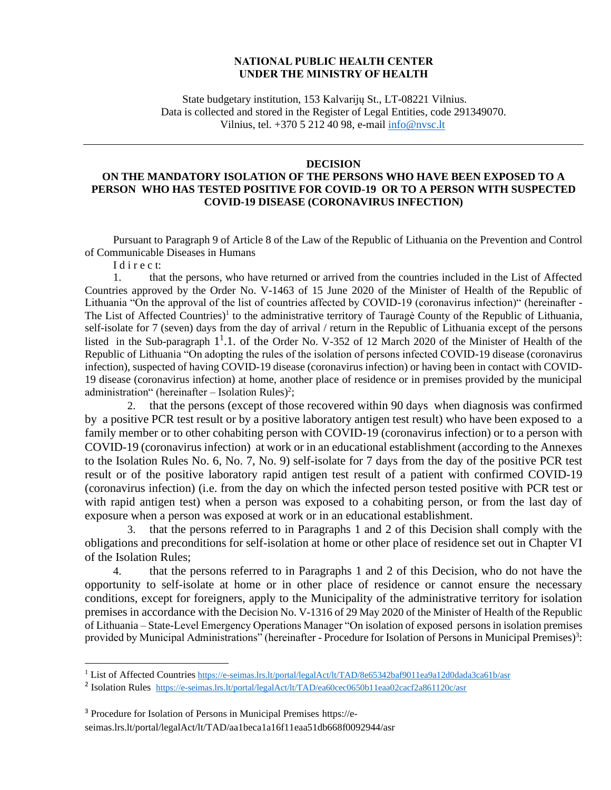## **NATIONAL PUBLIC HEALTH CENTER UNDER THE MINISTRY OF HEALTH**

State budgetary institution, 153 Kalvarijų St., LT-08221 Vilnius. Data is collected and stored in the Register of Legal Entities, code 291349070. Vilnius, tel. +370 5 212 40 98, e-mail [info@nvsc.lt](mailto:info@nvsc.lt)

## **DECISION**

## **ON THE MANDATORY ISOLATION OF THE PERSONS WHO HAVE BEEN EXPOSED TO A PERSON WHO HAS TESTED POSITIVE FOR COVID-19 OR TO A PERSON WITH SUSPECTED COVID-19 DISEASE (CORONAVIRUS INFECTION)**

Pursuant to Paragraph 9 of Article 8 of the Law of the Republic of Lithuania on the Prevention and Control of Communicable Diseases in Humans

I d i r e c t:

1. that the persons, who have returned or arrived from the countries included in the List of Affected Countries approved by the Order No. V-1463 of 15 June 2020 of the Minister of Health of the Republic of Lithuania "On the approval of the list of countries affected by COVID-19 (coronavirus infection)" (hereinafter - The List of Affected Countries)<sup>1</sup> to the administrative territory of Tauragė County of the Republic of Lithuania, self-isolate for 7 (seven) days from the day of arrival / return in the Republic of Lithuania except of the persons listed in the Sub-paragraph 1<sup>1</sup>.1. of the Order No. V-352 of 12 March 2020 of the Minister of Health of the Republic of Lithuania "On adopting the rules of the isolation of persons infected COVID-19 disease (coronavirus infection), suspected of having COVID-19 disease (coronavirus infection) or having been in contact with COVID-19 disease (coronavirus infection) at home, another place of residence or in premises provided by the municipal administration" (hereinafter  $-$  Isolation Rules)<sup>2</sup>;

2. that the persons (except of those recovered within 90 days when diagnosis was confirmed by a positive PCR test result or by a positive laboratory antigen test result) who have been exposed to a family member or to other cohabiting person with COVID-19 (coronavirus infection) or to a person with COVID-19 (coronavirus infection) at work or in an educational establishment (according to the Annexes to the Isolation Rules No. 6, No. 7, No. 9) self-isolate for 7 days from the day of the positive PCR test result or of the positive laboratory rapid antigen test result of a patient with confirmed COVID-19 (coronavirus infection) (i.e. from the day on which the infected person tested positive with PCR test or with rapid antigen test) when a person was exposed to a cohabiting person, or from the last day of exposure when a person was exposed at work or in an educational establishment.

3. that the persons referred to in Paragraphs 1 and 2 of this Decision shall comply with the obligations and preconditions for self-isolation at home or other place of residence set out in Chapter VI of the Isolation Rules;

4. that the persons referred to in Paragraphs 1 and 2 of this Decision, who do not have the opportunity to self-isolate at home or in other place of residence or cannot ensure the necessary conditions, except for foreigners, apply to the Municipality of the administrative territory for isolation premises in accordance with the Decision No. V-1316 of 29 May 2020 of the Minister of Health of the Republic of Lithuania – State-Level Emergency Operations Manager "On isolation of exposed persons in isolation premises provided by Municipal Administrations" (hereinafter - Procedure for Isolation of Persons in Municipal Premises)<sup>3</sup>:

<sup>&</sup>lt;sup>1</sup> List of Affected Countries <https://e-seimas.lrs.lt/portal/legalAct/lt/TAD/8e65342baf9011ea9a12d0dada3ca61b/asr>

<sup>&</sup>lt;sup>2</sup> Isolation Rules <https://e-seimas.lrs.lt/portal/legalAct/lt/TAD/ea60cec0650b11eaa02cacf2a861120c/asr>

<sup>3</sup> Procedure for Isolation of Persons in Municipal Premises https://eseimas.lrs.lt/portal/legalAct/lt/TAD/aa1beca1a16f11eaa51db668f0092944/asr